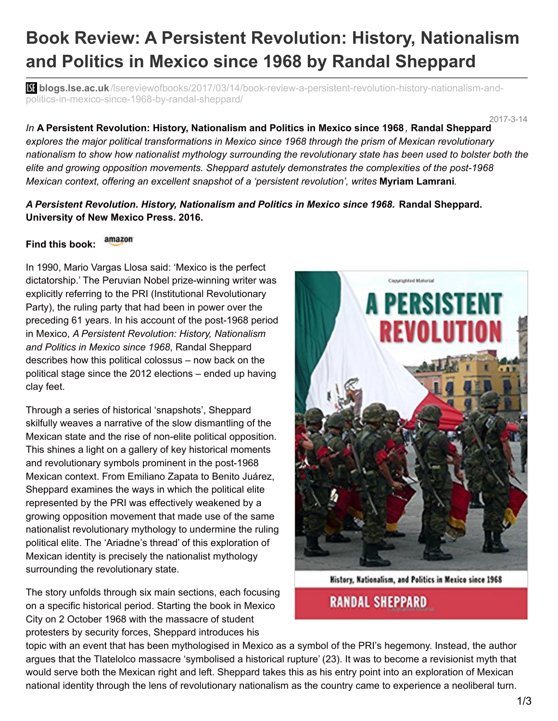# **Book Review: A Persistent Revolution: History, Nationalism and Politics in Mexico since 1968 by Randal Sheppard**

**bli blogs.lse.ac.uk**[/lsereviewofbooks/2017/03/14/book-review-a-persistent-revolution-history-nationalism-and](http://blogs.lse.ac.uk/lsereviewofbooks/2017/03/14/book-review-a-persistent-revolution-history-nationalism-and-politics-in-mexico-since-1968-by-randal-sheppard/)politics-in-mexico-since-1968-by-randal-sheppard/

2017-3-14 *In* **A Persistent Revolution: History, Nationalism and Politics in Mexico since 1968** *,* **Randal Sheppard** *explores the major political transformations in Mexico since 1968 through the prism of Mexican revolutionary* nationalism to show how nationalist mythology surrounding the revolutionary state has been used to bolster both the *elite and growing opposition movements. Sheppard astutely demonstrates the complexities of the post-1968 Mexican context, offering an excellent snapshot of a 'persistent revolution', writes* **Myriam Lamrani***.*

### *A Persistent Revolution. History, Nationalism and Politics in Mexico since 1968.* **Randal Sheppard. University of New Mexico Press. 2016.**

#### amazon **Find this book:**

In 1990, Mario Vargas Llosa said: 'Mexico is the perfect dictatorship.' The Peruvian Nobel prize-winning writer was explicitly referring to the PRI (Institutional Revolutionary Party), the ruling party that had been in power over the preceding 61 years. In his account of the post-1968 period in Mexico, *A Persistent Revolution: History, Nationalism and Politics in Mexico since 1968*, Randal Sheppard describes how this political colossus – now back on the political stage since the 2012 elections – ended up having clay feet.

Through a series of historical 'snapshots', Sheppard skilfully weaves a narrative of the slow dismantling of the Mexican state and the rise of non-elite political opposition. This shines a light on a gallery of key historical moments and revolutionary symbols prominent in the post-1968 Mexican context. From Emiliano Zapata to Benito Juárez, Sheppard examines the ways in which the political elite represented by the PRI was effectively weakened by a growing opposition movement that made use of the same nationalist revolutionary mythology to undermine the ruling political elite. The 'Ariadne's thread' of this exploration of Mexican identity is precisely the nationalist mythology surrounding the revolutionary state.

The story unfolds through six main sections, each focusing on a specific historical period. Starting the book in Mexico City on 2 October 1968 with the massacre of student protesters by security forces, Sheppard introduces his



**History, Nationalism, and Politics in Mexico since 1968** 

## **RANDAL SHEPPARD**

topic with an event that has been mythologised in Mexico as a symbol of the PRI's hegemony. Instead, the author argues that the Tlatelolco massacre 'symbolised a historical rupture' (23). It was to become a revisionist myth that would serve both the Mexican right and left. Sheppard takes this as his entry point into an exploration of Mexican national identity through the lens of revolutionary nationalism as the country came to experience a neoliberal turn.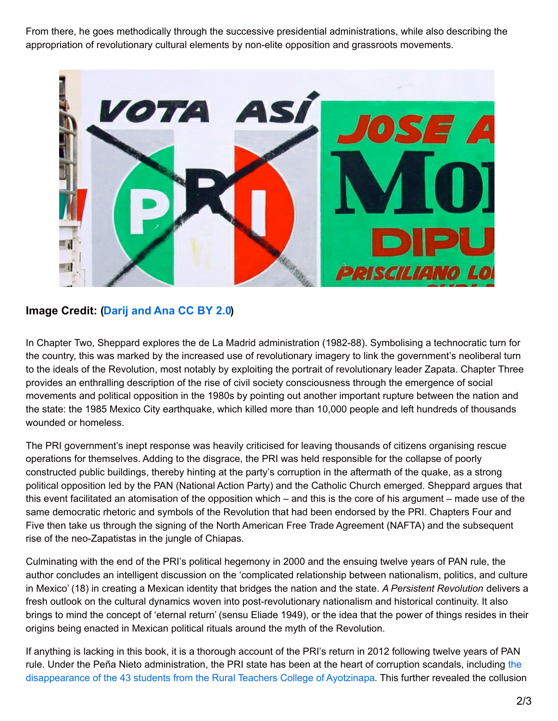From there, he goes methodically through the successive presidential administrations, while also describing the appropriation of revolutionary cultural elements by non-elite opposition and grassroots movements.



### **Image Credit: [\(Darij](https://www.flickr.com/photos/darij/3616890855/) and Ana CC BY 2.0)**

In Chapter Two, Sheppard explores the de La Madrid administration (1982-88). Symbolising a technocratic turn for the country, this was marked by the increased use of revolutionary imagery to link the government's neoliberal turn to the ideals of the Revolution, most notably by exploiting the portrait of revolutionary leader Zapata. Chapter Three provides an enthralling description of the rise of civil society consciousness through the emergence of social movements and political opposition in the 1980s by pointing out another important rupture between the nation and the state: the 1985 Mexico City earthquake, which killed more than 10,000 people and left hundreds of thousands wounded or homeless.

The PRI government's inept response was heavily criticised for leaving thousands of citizens organising rescue operations for themselves. Adding to the disgrace, the PRI was held responsible for the collapse of poorly constructed public buildings, thereby hinting at the party's corruption in the aftermath of the quake, as a strong political opposition led by the PAN (National Action Party) and the Catholic Church emerged. Sheppard argues that this event facilitated an atomisation of the opposition which – and this is the core of his argument – made use of the same democratic rhetoric and symbols of the Revolution that had been endorsed by the PRI. Chapters Four and Five then take us through the signing of the North American Free Trade Agreement (NAFTA) and the subsequent rise of the neo-Zapatistas in the jungle of Chiapas.

Culminating with the end of the PRI's political hegemony in 2000 and the ensuing twelve years of PAN rule, the author concludes an intelligent discussion on the 'complicated relationship between nationalism, politics, and culture in Mexico' (18) in creating a Mexican identity that bridges the nation and the state. *A Persistent Revolution* delivers a fresh outlook on the cultural dynamics woven into post-revolutionary nationalism and historical continuity. It also brings to mind the concept of 'eternal return' (sensu Eliade 1949), or the idea that the power of things resides in their origins being enacted in Mexican political rituals around the myth of the Revolution.

If anything is lacking in this book, it is a thorough account of the PRI's return in 2012 following twelve years of PAN rule. Under the Peña Nieto [administration,](http://www.newyorker.com/news/news-desk/the-missing-forty-three-the-mexican-government-sabotages-its-own-independent-investigation) the PRI state has been at the heart of corruption scandals, including the disappearance of the 43 students from the Rural Teachers College of Ayotzinapa. This further revealed the collusion